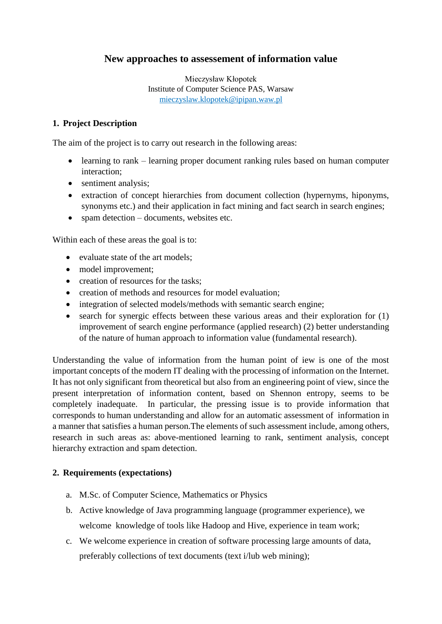## **New approaches to assessement of information value**

Mieczysław Kłopotek Institute of Computer Science PAS, Warsaw mieczyslaw.klopotek@ipipan.waw.pl

## **1. Project Description**

The aim of the project is to carry out research in the following areas:

- learning to rank learning proper document ranking rules based on human computer interaction;
- sentiment analysis;
- extraction of concept hierarchies from document collection (hypernyms, hiponyms, synonyms etc.) and their application in fact mining and fact search in search engines;
- spam detection documents, websites etc.

Within each of these areas the goal is to:

- evaluate state of the art models:
- model improvement;
- creation of resources for the tasks:
- creation of methods and resources for model evaluation;
- integration of selected models/methods with semantic search engine;
- $\bullet$  search for synergic effects between these various areas and their exploration for (1) improvement of search engine performance (applied research) (2) better understanding of the nature of human approach to information value (fundamental research).

Understanding the value of information from the human point of iew is one of the most important concepts of the modern IT dealing with the processing of information on the Internet. It has not only significant from theoretical but also from an engineering point of view, since the present interpretation of information content, based on Shennon entropy, seems to be completely inadequate. In particular, the pressing issue is to provide information that corresponds to human understanding and allow for an automatic assessment of information in a manner that satisfies a human person.The elements of such assessment include, among others, research in such areas as: above-mentioned learning to rank, sentiment analysis, concept hierarchy extraction and spam detection.

## **2. Requirements (expectations)**

- a. M.Sc. of Computer Science, Mathematics or Physics
- b. Active knowledge of Java programming language (programmer experience), we welcome knowledge of tools like Hadoop and Hive, experience in team work;
- c. We welcome experience in creation of software processing large amounts of data, preferably collections of text documents (text i/lub web mining);